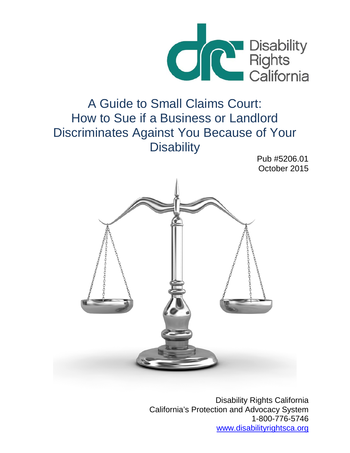

# A Guide to Small Claims Court: How to Sue if a Business or Landlord Discriminates Against You Because of Your **Disability**

Pub #5206.01 October 2015



Disability Rights California California's Protection and Advocacy System 1-800-776-5746 [www.disabilityrightsca.org](http://www.disabilityrightsca.org/)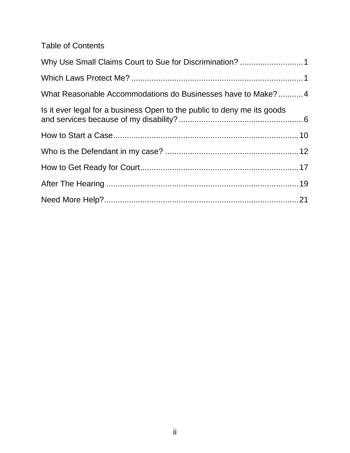Table of Contents

| Why Use Small Claims Court to Sue for Discrimination? 1                 |  |
|-------------------------------------------------------------------------|--|
|                                                                         |  |
| What Reasonable Accommodations do Businesses have to Make?4             |  |
| Is it ever legal for a business Open to the public to deny me its goods |  |
|                                                                         |  |
|                                                                         |  |
|                                                                         |  |
|                                                                         |  |
|                                                                         |  |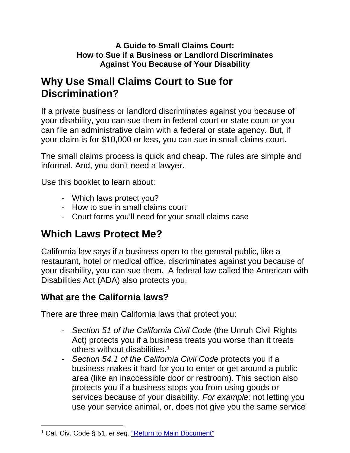#### **A Guide to Small Claims Court: How to Sue if a Business or Landlord Discriminates Against You Because of Your Disability**

# <span id="page-2-0"></span>**Why Use Small Claims Court to Sue for Discrimination?**

If a private business or landlord discriminates against you because of your disability, you can sue them in federal court or state court or you can file an administrative claim with a federal or state agency. But, if your claim is for \$10,000 or less, you can sue in small claims court.

The small claims process is quick and cheap. The rules are simple and informal. And, you don't need a lawyer.

Use this booklet to learn about:

- Which laws protect you?
- How to sue in small claims court
- Court forms you'll need for your small claims case

# <span id="page-2-1"></span>**Which Laws Protect Me?**

California law says if a business open to the general public, like a restaurant, hotel or medical office, discriminates against you because of your disability, you can sue them. A federal law called the American with Disabilities Act (ADA) also protects you.

#### **What are the California laws?**

There are three main California laws that protect you:

- *Section 51 of the California Civil Code* (the Unruh Civil Rights Act) protects you if a business treats you worse than it treats others without [disabilities.1](#page-2-2)
- <span id="page-2-3"></span>- *Section 54.1 of the California Civil Code* protects you if a business makes it hard for you to enter or get around a public area (like an inaccessible door or restroom). This section also protects you if a business stops you from using goods or services because of your disability. *For example:* not letting you use your service animal, or, does not give you the same service

<span id="page-2-4"></span><span id="page-2-2"></span> $\overline{a}$ <sup>1</sup> Cal. Civ. Code § 51, et seq. ["Return to Main Document"](#page-2-3)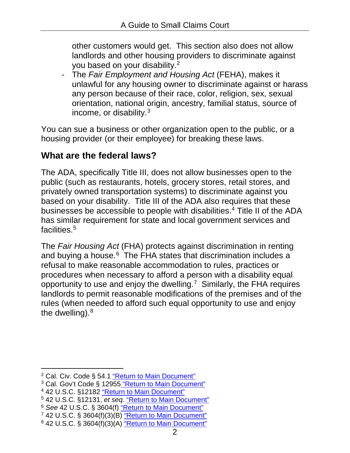<span id="page-3-7"></span>other customers would get. This section also does not allow landlords and other housing providers to discriminate against you based on your [disability.2](#page-3-0)

<span id="page-3-8"></span>- The *Fair Employment and Housing Act* (FEHA), makes it unlawful for any housing owner to discriminate against or harass any person because of their race, color, religion, sex, sexual orientation, national origin, ancestry, familial status, source of income, or [disability.3](#page-3-1)

You can sue a business or other organization open to the public, or a housing provider (or their employee) for breaking these laws.

#### **What are the federal laws?**

The ADA, specifically Title III, does not allow businesses open to the public (such as restaurants, hotels, grocery stores, retail stores, and privately owned transportation systems) to discriminate against you based on your disability. Title III of the ADA also requires that these businesses be accessible to people with disabilities.<sup>4</sup> Title II of the ADA has similar requirement for state and local government services and facilities.<sup>5</sup>

<span id="page-3-12"></span><span id="page-3-11"></span><span id="page-3-10"></span><span id="page-3-9"></span>The *Fair Housing Act* (FHA) protects against discrimination in renting and buying a house.<sup>6</sup> The FHA states that discrimination includes a refusal to make reasonable accommodation to rules, practices or procedures when necessary to afford a person with a disability equal opportunity to use and enjoy the dwelling.<sup>7</sup> Similarly, the FHA requires landlords to permit reasonable modifications of the premises and of the rules (when needed to afford such equal opportunity to use and enjoy the dwelling).<sup>8</sup>

<span id="page-3-15"></span><span id="page-3-14"></span><span id="page-3-1"></span><sup>3</sup> Cal. Gov't Code § 12955 ["Return to Main Document"](#page-3-8)

<span id="page-3-17"></span><span id="page-3-3"></span><sup>5</sup> 42 U.S.C. §12131, *et seq.* ["Return to Main Document"](#page-3-10)

<span id="page-3-13"></span><span id="page-3-0"></span> $\ddot{\phantom{a}}$ <sup>2</sup> Cal. Civ. Code § 54.1 <u>["Return to Main Document"](#page-3-7)</u>

<span id="page-3-16"></span><span id="page-3-2"></span><sup>4</sup> 42 U.S.C. §12182 ["Return to Main Document"](#page-3-9)

<span id="page-3-18"></span><span id="page-3-4"></span><sup>6</sup> *See* 42 U.S.C. § 3604(f) ["Return to Main Document"](#page-3-11)

<span id="page-3-19"></span><span id="page-3-5"></span><sup>7</sup> 42 U.S.C. § 3604(f)(3)(B) ["Return to Main Document"](#page-3-12)

<span id="page-3-20"></span><span id="page-3-6"></span><sup>8</sup> 42 U.S.C. § 3604(f)(3)(A) ["Return to Main Document"](#page-3-13)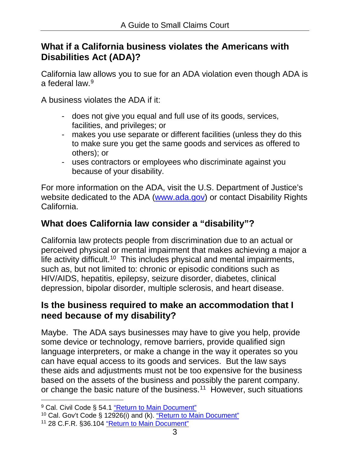#### **What if a California business violates the Americans with Disabilities Act (ADA)?**

<span id="page-4-3"></span>California law allows you to sue for an ADA violation even though ADA is a federal law  $9$ 

A business violates the ADA if it:

- does not give you equal and full use of its goods, services, facilities, and privileges; or
- makes you use separate or different facilities (unless they do this to make sure you get the same goods and services as offered to others); or
- uses contractors or employees who discriminate against you because of your disability.

For more information on the ADA, visit the U.S. Department of Justice's website dedicated to the ADA [\(www.ada.gov\)](http://www.ada.gov/) or contact Disability Rights California.

# **What does California law consider a "disability"?**

<span id="page-4-4"></span>California law protects people from discrimination due to an actual or perceived physical or mental impairment that makes achieving a major a life activity [difficult.10](#page-4-1) This includes physical and mental impairments, such as, but not limited to: chronic or episodic conditions such as HIV/AIDS, hepatitis, epilepsy, seizure disorder, diabetes, clinical depression, bipolar disorder, multiple sclerosis, and heart disease.

#### **Is the business required to make an accommodation that I need because of my disability?**

Maybe. The ADA says businesses may have to give you help, provide some device or technology, remove barriers, provide qualified sign language interpreters, or make a change in the way it operates so you can have equal access to its goods and services. But the law says these aids and adjustments must not be too expensive for the business based on the assets of the business and possibly the parent company. or change the basic nature of the [business.](#page-4-2) [11](#page-4-8) However, such situations

<span id="page-4-6"></span><span id="page-4-5"></span><span id="page-4-0"></span> $\overline{a}$ <sup>9</sup> Cal. Civil Code § 54.1 ["Return to Main Document"](#page-4-3)

<span id="page-4-7"></span><span id="page-4-1"></span><sup>10</sup> Cal. Gov't Code § 12926(i) and (k). ["Return to Main Document"](#page-4-4)

<span id="page-4-8"></span><span id="page-4-2"></span><sup>11</sup> 28 C.F.R. §36.104 ["Return to Main Document"](#page-4-5)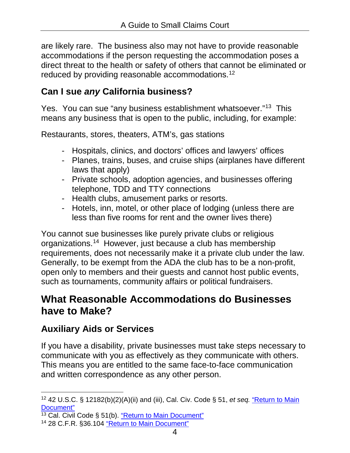are likely rare. The business also may not have to provide reasonable accommodations if the person requesting the accommodation poses a direct threat to the health or safety of others that cannot be eliminated or reduced by providing reasonable [accommodations.](#page-5-1) [12](#page-5-7)

# <span id="page-5-4"></span>**Can I sue** *any* **California business?**

Yes. You can sue "any business establishment [whatsoever."13](#page-5-2) This means any business that is open to the public, including, for example:

Restaurants, stores, theaters, ATM's, gas stations

- <span id="page-5-5"></span>- Hospitals, clinics, and doctors' offices and lawyers' offices
- Planes, trains, buses, and cruise ships (airplanes have different laws that apply)
- Private schools, adoption agencies, and businesses offering telephone, TDD and TTY connections
- Health clubs, amusement parks or resorts.
- Hotels, inn, motel, or other place of lodging (unless there are less than five rooms for rent and the owner lives there)

<span id="page-5-6"></span>You cannot sue businesses like purely private clubs or religious [organizations.14](#page-5-3) However, just because a club has membership requirements, does not necessarily make it a private club under the law. Generally, to be exempt from the ADA the club has to be a non-profit, open only to members and their guests and cannot host public events, such as tournaments, community affairs or political fundraisers.

# <span id="page-5-0"></span>**What Reasonable Accommodations do Businesses have to Make?**

# **Auxiliary Aids or Services**

If you have a disability, private businesses must take steps necessary to communicate with you as effectively as they communicate with others. This means you are entitled to the same face-to-face communication and written correspondence as any other person.

<span id="page-5-7"></span><span id="page-5-1"></span> $\overline{a}$ <sup>12</sup> 42 U.S.C. § 12182(b)(2)(A)(ii) and (iii), Cal. Civ. Code § 51, *et seq.* ["Return to Main](#page-5-4)  [Document"](#page-5-4)

<span id="page-5-8"></span><span id="page-5-2"></span> $13$  Cal. Civil Code § 51(b). ["Return to Main Document"](#page-5-5)

<span id="page-5-9"></span><span id="page-5-3"></span><sup>14</sup> 28 C.F.R. §36.104 ["Return to Main Document"](#page-5-6)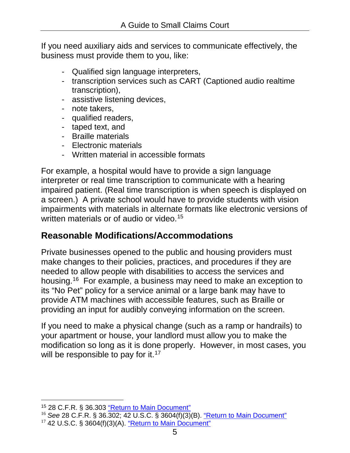If you need auxiliary aids and services to communicate effectively, the business must provide them to you, like:

- Qualified sign language interpreters,
- transcription services such as CART (Captioned audio realtime transcription),
- assistive listening devices,
- note takers,
- qualified readers,
- taped text, and
- Braille materials
- Electronic materials
- <span id="page-6-3"></span>- Written material in accessible formats

For example, a hospital would have to provide a sign language interpreter or real time transcription to communicate with a hearing impaired patient. (Real time transcription is when speech is displayed on a screen.) A private school would have to provide students with vision impairments with materials in alternate formats like electronic versions of written materials or of audio or [video.](#page-6-0) [15](#page-6-6)

# **Reasonable Modifications/Accommodations**

<span id="page-6-4"></span>Private businesses opened to the public and housing providers must make changes to their policies, practices, and procedures if they are needed to allow people with disabilities to access the services and [housing.16](#page-6-1) For example, a business may need to make an exception to its "No Pet" policy for a service animal or a large bank may have to provide ATM machines with accessible features, such as Braille or providing an input for audibly conveying information on the screen.

<span id="page-6-5"></span>If you need to make a physical change (such as a ramp or handrails) to your apartment or house, your landlord must allow you to make the modification so long as it is done properly. However, in most cases, you will be responsible to pay for it.<sup>17</sup>

<span id="page-6-6"></span><span id="page-6-0"></span> $\ddot{\phantom{a}}$ <sup>15</sup> 28 C.F.R. § 36.303 ["Return to Main Document"](#page-6-3)

<span id="page-6-8"></span><span id="page-6-7"></span><span id="page-6-2"></span><span id="page-6-1"></span><sup>16</sup> *See* 28 C.F.R. § 36.302; 42 U.S.C. § 3604(f)(3)(B). ["Return to Main Document"](#page-6-4)  $17$  42 U.S.C. § 3604(f)(3)(A). ["Return to Main Document"](#page-6-5)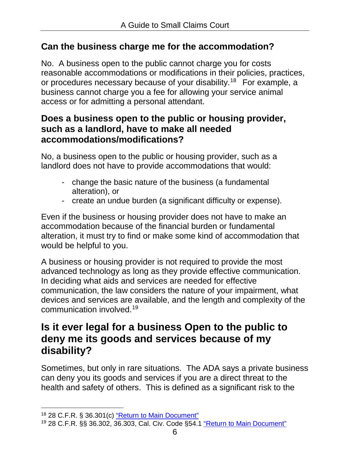#### **Can the business charge me for the accommodation?**

<span id="page-7-3"></span>No. A business open to the public cannot charge you for costs reasonable accommodations or modifications in their policies, practices, or procedures necessary because of your disability.<sup>18</sup> For example, a business cannot charge you a fee for allowing your service animal access or for admitting a personal attendant.

#### **Does a business open to the public or housing provider, such as a landlord, have to make all needed accommodations/modifications?**

No, a business open to the public or housing provider, such as a landlord does not have to provide accommodations that would:

- change the basic nature of the business (a fundamental alteration), or
- create an undue burden (a significant difficulty or expense).

Even if the business or housing provider does not have to make an accommodation because of the financial burden or fundamental alteration, it must try to find or make some kind of accommodation that would be helpful to you.

A business or housing provider is not required to provide the most advanced technology as long as they provide effective communication. In deciding what aids and services are needed for effective communication, the law considers the nature of your impairment, what devices and services are available, and the length and complexity of the communication [involved.19](#page-7-2)

# <span id="page-7-4"></span><span id="page-7-0"></span>**Is it ever legal for a business Open to the public to deny me its goods and services because of my disability?**

Sometimes, but only in rare situations. The ADA says a private business can deny you its goods and services if you are a direct threat to the health and safety of others. This is defined as a significant risk to the

 $\ddot{\phantom{a}}$ 

<span id="page-7-5"></span><span id="page-7-1"></span><sup>18</sup> 28 C.F.R. § 36.301(c) ["Return to Main Document"](#page-7-3)

<span id="page-7-6"></span><span id="page-7-2"></span><sup>19</sup> 28 C.F.R. §§ 36.302, 36.303, Cal. Civ. Code §54.1 ["Return to Main Document"](#page-7-4)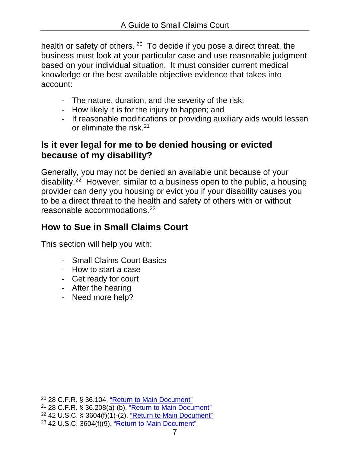<span id="page-8-4"></span>health or safety of [others.](#page-8-0) <sup>[20](#page-8-8)</sup> To decide if you pose a direct threat, the business must look at your particular case and use reasonable judgment based on your individual situation. It must consider current medical knowledge or the best available objective evidence that takes into account:

- The nature, duration, and the severity of the risk;
- How likely it is for the injury to happen; and
- <span id="page-8-5"></span>- If reasonable modifications or providing auxiliary aids would lessen or eliminate the [risk.21](#page-8-1)

### **Is it ever legal for me to be denied housing or evicted because of my disability?**

<span id="page-8-6"></span>Generally, you may not be denied an available unit because of your [disability.22](#page-8-2) However, similar to a business open to the public, a housing provider can deny you housing or evict you if your disability causes you to be a direct threat to the health and safety of others with or without reasonable accommodations.<sup>23</sup>

# <span id="page-8-7"></span>**How to Sue in Small Claims Court**

This section will help you with:

- Small Claims Court Basics
- How to start a case
- Get ready for court
- After the hearing
- Need more help?

<span id="page-8-0"></span> $\overline{a}$ <sup>20</sup> 28 C.F.R. § 36.104. ["Return to Main Document"](#page-8-4)

<span id="page-8-9"></span><span id="page-8-8"></span><span id="page-8-1"></span><sup>21</sup> 28 C.F.R. § 36.208(a)-(b). ["Return to Main Document"](#page-8-5)

<span id="page-8-11"></span><span id="page-8-10"></span><span id="page-8-3"></span><span id="page-8-2"></span><sup>22</sup> 42 U.S.C. § 3604(f)(1)-(2). ["Return to Main Document"](#page-8-6)  $23$  42 U.S.C. 3604(f)(9). ["Return to Main Document"](#page-8-7)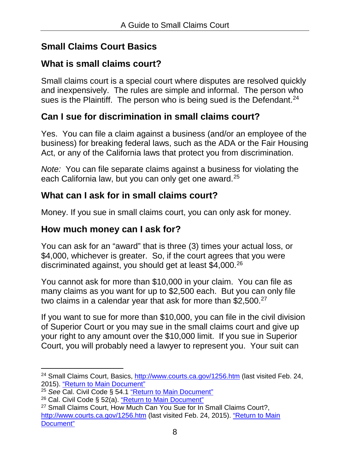# **Small Claims Court Basics**

# **What is small claims court?**

Small claims court is a special court where disputes are resolved quickly and inexpensively. The rules are simple and informal. The person who sues is the Plaintiff. The person who is being sued is the Defendant.<sup>24</sup>

### <span id="page-9-4"></span>**Can I sue for discrimination in small claims court?**

Yes. You can file a claim against a business (and/or an employee of the business) for breaking federal laws, such as the ADA or the Fair Housing Act, or any of the California laws that protect you from discrimination.

<span id="page-9-5"></span>*Note:* You can file separate claims against a business for violating the each California law, but you can only get one award.<sup>25</sup>

### **What can I ask for in small claims court?**

Money. If you sue in small claims court, you can only ask for money.

### **How much money can I ask for?**

You can ask for an "award" that is three (3) times your actual loss, or \$4,000, whichever is greater. So, if the court agrees that you were discriminated against, you should get at least [\\$4,000.26](#page-9-2)

<span id="page-9-6"></span>You cannot ask for more than \$10,000 in your claim. You can file as many claims as you want for up to \$2,500 each. But you can only file two claims in a calendar year that ask for more than \$2,500.<sup>27</sup>

<span id="page-9-7"></span>If you want to sue for more than \$10,000, you can file in the civil division of Superior Court or you may sue in the small claims court and give up your right to any amount over the \$10,000 limit. If you sue in Superior Court, you will probably need a lawyer to represent you. Your suit can

<span id="page-9-8"></span><span id="page-9-0"></span> $\ddot{\phantom{a}}$ <sup>24</sup> Small Claims Court, Basics,<http://www.courts.ca.gov/1256.htm> (last visited Feb. 24, 2015). ["Return to Main Document"](#page-9-4)

<span id="page-9-9"></span><span id="page-9-1"></span><sup>&</sup>lt;sup>25</sup> See Cal. Civil Code § 54.1 ["Return to Main Document"](#page-9-5)

<span id="page-9-10"></span><span id="page-9-2"></span><sup>26</sup> Cal. Civil Code § 52(a). ["Return to Main Document"](#page-9-6)

<span id="page-9-11"></span><span id="page-9-3"></span><sup>&</sup>lt;sup>27</sup> Small Claims Court, How Much Can You Sue for In Small Claims Court?, <http://www.courts.ca.gov/1256.htm> (last visited Feb. 24, 2015). ["Return to Main](#page-9-7)  [Document"](#page-9-7)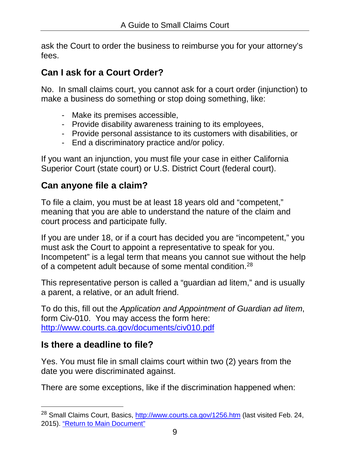ask the Court to order the business to reimburse you for your attorney's fees.

# **Can I ask for a Court Order?**

No. In small claims court, you cannot ask for a court order (injunction) to make a business do something or stop doing something, like:

- Make its premises accessible,
- Provide disability awareness training to its employees,
- Provide personal assistance to its customers with disabilities, or
- End a discriminatory practice and/or policy.

If you want an injunction, you must file your case in either California Superior Court (state court) or U.S. District Court (federal court).

# **Can anyone file a claim?**

To file a claim, you must be at least 18 years old and "competent," meaning that you are able to understand the nature of the claim and court process and participate fully.

If you are under 18, or if a court has decided you are "incompetent," you must ask the Court to appoint a representative to speak for you. Incompetent" is a legal term that means you cannot sue without the help of a competent adult because of some mental condition.<sup>28</sup>

<span id="page-10-1"></span>This representative person is called a "guardian ad litem," and is usually a parent, a relative, or an adult friend.

To do this, fill out the *Application and Appointment of Guardian ad litem*, form Civ-010. You may access the form here: <http://www.courts.ca.gov/documents/civ010.pdf>

# **Is there a deadline to file?**

 $\ddot{\phantom{a}}$ 

Yes. You must file in small claims court within two (2) years from the date you were discriminated against.

There are some exceptions, like if the discrimination happened when:

<span id="page-10-2"></span><span id="page-10-0"></span><sup>&</sup>lt;sup>28</sup> Small Claims Court, Basics,<http://www.courts.ca.gov/1256.htm> (last visited Feb. 24, 2015). ["Return to Main Document"](#page-10-1)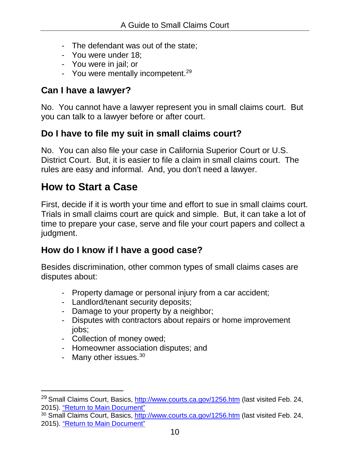- The defendant was out of the state;
- You were under 18;
- You were in jail; or
- <span id="page-11-3"></span>- You were mentally incompetent.<sup>29</sup>

### **Can I have a lawyer?**

No. You cannot have a lawyer represent you in small claims court. But you can talk to a lawyer before or after court.

### **Do I have to file my suit in small claims court?**

No. You can also file your case in California Superior Court or U.S. District Court. But, it is easier to file a claim in small claims court. The rules are easy and informal. And, you don't need a lawyer.

# <span id="page-11-0"></span>**How to Start a Case**

First, decide if it is worth your time and effort to sue in small claims court. Trials in small claims court are quick and simple. But, it can take a lot of time to prepare your case, serve and file your court papers and collect a judgment.

### **How do I know if I have a good case?**

Besides discrimination, other common types of small claims cases are disputes about:

- Property damage or personal injury from a car accident;
- Landlord/tenant security deposits;
- Damage to your property by a neighbor;
- Disputes with contractors about repairs or home improvement jobs;
- Collection of money owed;
- Homeowner association disputes; and
- <span id="page-11-4"></span>- Many other issues.<sup>30</sup>

 $\overline{a}$ 

<span id="page-11-5"></span><span id="page-11-1"></span><sup>&</sup>lt;sup>29</sup> Small Claims Court, Basics,<http://www.courts.ca.gov/1256.htm> (last visited Feb. 24, 2015). ["Return to Main Document"](#page-11-3)

<span id="page-11-6"></span><span id="page-11-2"></span><sup>&</sup>lt;sup>30</sup> Small Claims Court, Basics,<http://www.courts.ca.gov/1256.htm> (last visited Feb. 24, 2015). ["Return to Main Document"](#page-11-4)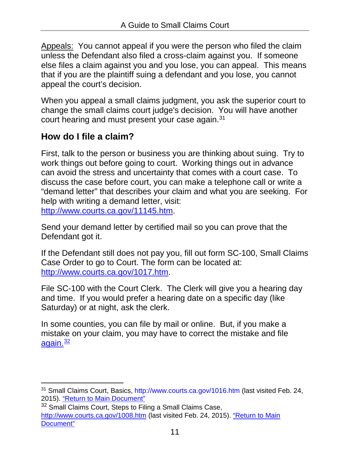Appeals: You cannot appeal if you were the person who filed the claim unless the Defendant also filed a cross-claim against you. If someone else files a claim against you and you lose, you can appeal. This means that if you are the plaintiff suing a defendant and you lose, you cannot appeal the court's decision.

When you appeal a small claims judgment, you ask the superior court to change the small claims court judge's decision. You will have another court hearing and must present your case again.<sup>31</sup>

# <span id="page-12-2"></span>**How do I file a claim?**

First, talk to the person or business you are thinking about suing. Try to work things out before going to court. Working things out in advance can avoid the stress and uncertainty that comes with a court case. To discuss the case before court, you can make a telephone call or write a "demand letter" that describes your claim and what you are seeking. For help with writing a demand letter, visit: [http://www.courts.ca.gov/11145.htm.](http://www.courts.ca.gov/11145.htm)

Send your demand letter by certified mail so you can prove that the Defendant got it.

If the Defendant still does not pay you, fill out form SC-100, Small Claims Case Order to go to Court. The form can be located at: [http://www.courts.ca.gov/1017.htm.](http://www.courts.ca.gov/1017.htm)

File SC-100 with the Court Clerk. The Clerk will give you a hearing day and time. If you would prefer a hearing date on a specific day (like Saturday) or at night, ask the clerk.

<span id="page-12-3"></span>In some counties, you can file by mail or online. But, if you make a mistake on your claim, you may have to correct the mistake and file again. $\frac{32}{2}$ 

<span id="page-12-4"></span><span id="page-12-0"></span> $\overline{a}$ <sup>31</sup> Small Claims Court, Basics,<http://www.courts.ca.gov/1016.htm> (last visited Feb. 24, 2015). ["Return to Main Document"](#page-12-2)

<span id="page-12-5"></span><span id="page-12-1"></span><sup>&</sup>lt;sup>32</sup> Small Claims Court, Steps to Filing a Small Claims Case, <http://www.courts.ca.gov/1008.htm> (last visited Feb. 24, 2015). ["Return to](#page-12-3) Main [Document"](#page-12-3)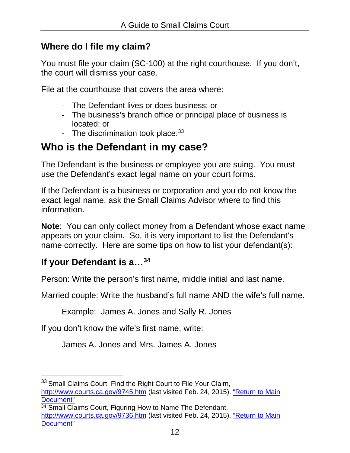#### **Where do I file my claim?**

You must file your claim (SC-100) at the right courthouse. If you don't, the court will dismiss your case.

File at the courthouse that covers the area where:

- The Defendant lives or does business; or
- The business's branch office or principal place of business is located; or
- <span id="page-13-3"></span>- The discrimination took place. $33$

# <span id="page-13-0"></span>**Who is the Defendant in my case?**

The Defendant is the business or employee you are suing. You must use the Defendant's exact legal name on your court forms.

If the Defendant is a business or corporation and you do not know the exact legal name, ask the Small Claims Advisor where to find this information.

**Note**: You can only collect money from a Defendant whose exact name appears on your claim. So, it is very important to list the Defendant's name correctly. Here are some tips on how to list your defendant(s):

# **If your Defendant is [a…34](#page-13-2)**

 $\overline{a}$ 

Person: Write the person's first name, middle initial and last name.

Married couple: Write the husband's full name AND the wife's full name.

<span id="page-13-4"></span>Example: James A. Jones and Sally R. Jones

If you don't know the wife's first name, write:

James A. Jones and Mrs. James A. Jones

<span id="page-13-5"></span><span id="page-13-1"></span><sup>&</sup>lt;sup>33</sup> Small Claims Court, Find the Right Court to File Your Claim,

<http://www.courts.ca.gov/9745.htm> (last visited Feb. 24, 2015). ["Return to Main](#page-13-3)  [Document"](#page-13-3)

<span id="page-13-6"></span><span id="page-13-2"></span><sup>&</sup>lt;sup>34</sup> Small Claims Court, Figuring How to Name The Defendant,

<http://www.courts.ca.gov/9736.htm> (last visited Feb. 24, 2015). ["Return to Main](#page-13-4)  [Document"](#page-13-4)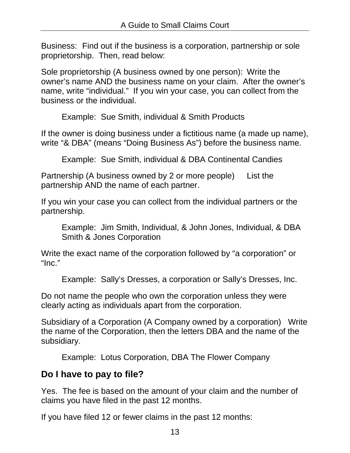Business: Find out if the business is a corporation, partnership or sole proprietorship. Then, read below:

Sole proprietorship (A business owned by one person): Write the owner's name AND the business name on your claim. After the owner's name, write "individual." If you win your case, you can collect from the business or the individual.

Example: Sue Smith, individual & Smith Products

If the owner is doing business under a fictitious name (a made up name), write "& DBA" (means "Doing Business As") before the business name.

Example: Sue Smith, individual & DBA Continental Candies

Partnership (A business owned by 2 or more people) List the partnership AND the name of each partner.

If you win your case you can collect from the individual partners or the partnership.

Example: Jim Smith, Individual, & John Jones, Individual, & DBA Smith & Jones Corporation

Write the exact name of the corporation followed by "a corporation" or "Inc."

Example: Sally's Dresses, a corporation or Sally's Dresses, Inc.

Do not name the people who own the corporation unless they were clearly acting as individuals apart from the corporation.

Subsidiary of a Corporation (A Company owned by a corporation) Write the name of the Corporation, then the letters DBA and the name of the subsidiary.

Example: Lotus Corporation, DBA The Flower Company

# **Do I have to pay to file?**

Yes. The fee is based on the amount of your claim and the number of claims you have filed in the past 12 months.

If you have filed 12 or fewer claims in the past 12 months: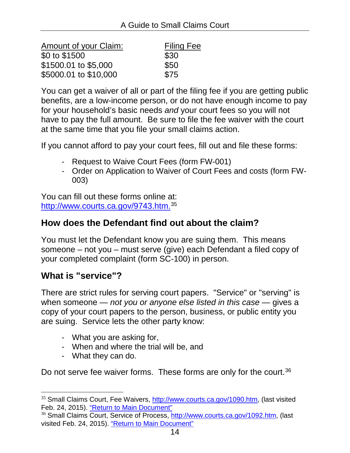| Amount of your Claim: | <b>Filing Fee</b> |
|-----------------------|-------------------|
| \$0 to \$1500         | \$30              |
| \$1500.01 to \$5,000  | \$50              |
| \$5000.01 to \$10,000 | \$75              |

You can get a waiver of all or part of the filing fee if you are getting public benefits, are a low-income person, or do not have enough income to pay for your household's basic needs *and* your court fees so you will not have to pay the full amount. Be sure to file the fee waiver with the court at the same time that you file your small claims action.

If you cannot afford to pay your court fees, fill out and file these forms:

- Request to Waive Court Fees (form FW-001)
- Order on Application to Waiver of Court Fees and costs (form FW-003)

<span id="page-15-2"></span>You can fill out these forms online at: [http://www.courts.ca.gov/9743.htm.35](#page-15-0)

#### **How does the Defendant find out about the claim?**

You must let the Defendant know you are suing them. This means someone – not you – must serve (give) each Defendant a filed copy of your completed complaint (form SC-100) in person.

#### **What is "service"?**

 $\ddot{\phantom{a}}$ 

There are strict rules for serving court papers. "Service" or "serving" is when someone — *not you or anyone else listed in this case* — gives a copy of your court papers to the person, business, or public entity you are suing. Service lets the other party know:

- What you are asking for,
- When and where the trial will be, and
- <span id="page-15-3"></span>- What they can do.

Do not serve fee waiver forms. These forms are only for the court.<sup>36</sup>

<span id="page-15-4"></span><span id="page-15-0"></span><sup>35</sup> Small Claims Court, Fee Waivers, [http://www.courts.ca.gov/1090.htm,](http://www.courts.ca.gov/1090.htm) (last visited Feb. 24, 2015). ["Return to Main Document"](#page-15-2)

<span id="page-15-5"></span><span id="page-15-1"></span><sup>&</sup>lt;sup>36</sup> Small Claims Court, Service of Process, http://www.courts.ca.gov/1092.htm, (last visited Feb. 24, 2015). ["Return to Main Document"](#page-15-3)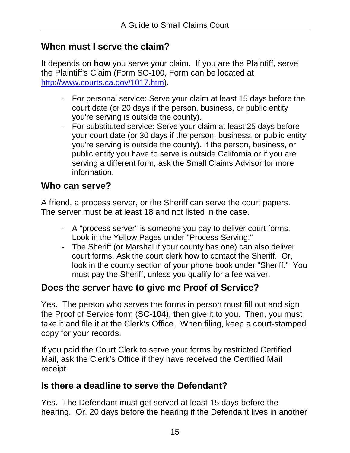### **When must I serve the claim?**

It depends on **how** you serve your claim. If you are the Plaintiff, serve the Plaintiff's Claim [\(Form SC-100,](http://www.courtinfo.ca.gov/forms/fillable/sc100.pdf) Form can be located at [http://www.courts.ca.gov/1017.htm\)](http://www.courts.ca.gov/1017.htm).

- For personal service: Serve your claim at least 15 days before the court date (or 20 days if the person, business, or public entity you're serving is outside the county).
- For substituted service: Serve your claim at least 25 days before your court date (or 30 days if the person, business, or public entity you're serving is outside the county). If the person, business, or public entity you have to serve is outside California or if you are serving a different form, ask the [Small Claims Advisor](http://www.courtinfo.ca.gov/selfhelp/smallclaims/scbycounty.htm) for more information.

### **Who can serve?**

A friend, a process server, or the Sheriff can serve the court papers. The server must be at least 18 and not listed in the case.

- A "process server" is someone you pay to deliver court forms. Look in the Yellow Pages under "Process Serving."
- The Sheriff (or Marshal if your county has one) can also deliver court forms. Ask the court clerk how to contact the Sheriff. Or, look in the county section of your phone book under "Sheriff." You must pay the Sheriff, unless you qualify for a fee waiver.

# **Does the server have to give me Proof of Service?**

Yes. The person who serves the forms in person must fill out and sign the Proof of Service form (SC-104), then give it to you. Then, you must take it and file it at the Clerk's Office. When filing, keep a court-stamped copy for your records.

If you paid the Court Clerk to serve your forms by restricted Certified Mail, ask the Clerk's Office if they have received the Certified Mail receipt.

# **Is there a deadline to serve the Defendant?**

Yes. The Defendant must get served at least 15 days before the hearing. Or, 20 days before the hearing if the Defendant lives in another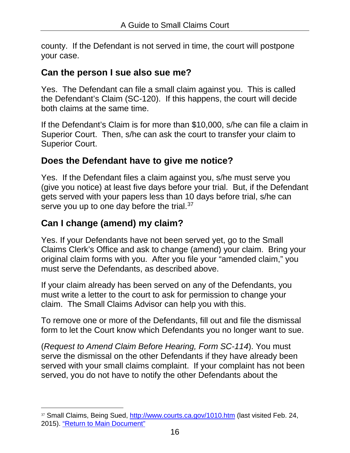county. If the Defendant is not served in time, the court will postpone your case.

#### **Can the person I sue also sue me?**

Yes. The Defendant can file a small claim against you. This is called the Defendant's Claim (SC-120). If this happens, the court will decide both claims at the same time.

If the Defendant's Claim is for more than \$10,000, s/he can file a claim in Superior Court. Then, s/he can ask the court to transfer your claim to Superior Court.

### **Does the Defendant have to give me notice?**

Yes. If the Defendant files a claim against you, s/he must serve you (give you notice) at least five days before your trial. But, if the Defendant gets served with your papers less than 10 days before trial, s/he can serve you up to one day before the trial.<sup>37</sup>

# <span id="page-17-1"></span>**Can I change (amend) my claim?**

Yes. If your Defendants have not been served yet, go to the Small Claims Clerk's Office and ask to change (amend) your claim. Bring your original claim forms with you. After you file your "amended claim," you must serve the Defendants, as described above.

If your claim already has been served on any of the Defendants, you must write a letter to the court to ask for permission to change your claim. The Small Claims Advisor can help you with this.

To remove one or more of the Defendants, fill out and file the dismissal form to let the Court know which Defendants you no longer want to sue.

(*Request to Amend Claim Before Hearing, Form SC-114*). You must serve the dismissal on the other Defendants if they have already been served with your small claims complaint. If your complaint has not been served, you do not have to notify the other Defendants about the

<span id="page-17-2"></span><span id="page-17-0"></span> $\ddot{\phantom{a}}$ 37 Small Claims, Being Sued,<http://www.courts.ca.gov/1010.htm> (last visited Feb. 24, 2015). ["Return to Main Document"](#page-17-1)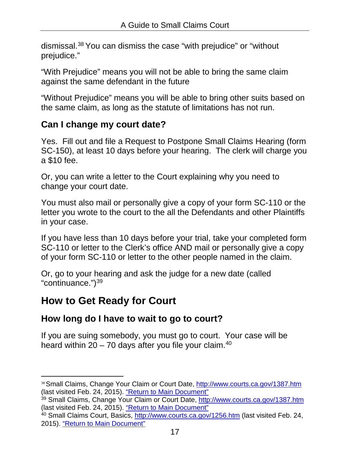<span id="page-18-4"></span>[dismissal.38](#page-18-1) You can dismiss the case "with prejudice" or "without prejudice."

"With Prejudice" means you will not be able to bring the same claim against the same defendant in the future

"Without Prejudice" means you will be able to bring other suits based on the same claim, as long as the statute of limitations has not run.

### **Can I change my court date?**

Yes. Fill out and file a Request to Postpone Small Claims Hearing (form SC-150), at least 10 days before your hearing. The clerk will charge you a \$10 fee.

Or, you can write a letter to the Court explaining why you need to change your court date.

You must also mail or personally give a copy of your form SC-110 or the letter you wrote to the court to the all the Defendants and other Plaintiffs in your case.

If you have less than 10 days before your trial, take your completed form SC-110 or letter to the Clerk's office AND mail or personally give a copy of your form SC-110 or letter to the other people named in the claim.

<span id="page-18-5"></span>Or, go to your hearing and ask the judge for a new date (called "continuance.")<sup>39</sup>

# <span id="page-18-0"></span>**How to Get Ready for Court**

### **How long do I have to wait to go to court?**

<span id="page-18-6"></span>If you are suing somebody, you must go to court. Your case will be heard within  $20 - 70$  days after you file your claim.<sup>40</sup>

<span id="page-18-7"></span><span id="page-18-1"></span> $\ddot{\phantom{a}}$ 38 Small Claims, Change Your Claim or Court Date,<http://www.courts.ca.gov/1387.htm> (last visited Feb. 24, 2015). ["Return to Main Document"](#page-18-4)

<span id="page-18-8"></span><span id="page-18-2"></span><sup>&</sup>lt;sup>39</sup> Small Claims, Change Your Claim or Court Date,<http://www.courts.ca.gov/1387.htm> (last visited Feb. 24, 2015). ["Return to Main Document"](#page-18-5)

<span id="page-18-9"></span><span id="page-18-3"></span><sup>&</sup>lt;sup>40</sup> Small Claims Court, Basics,<http://www.courts.ca.gov/1256.htm> (last visited Feb. 24, 2015). ["Return to Main Document"](#page-18-6)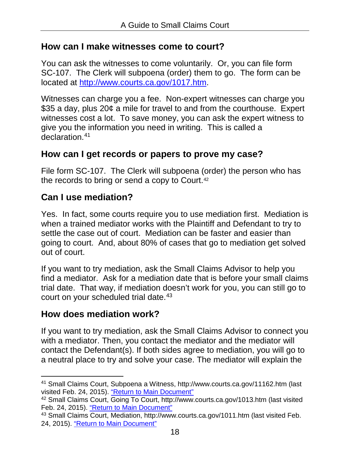#### **How can I make witnesses come to court?**

You can ask the witnesses to come voluntarily. Or, you can file form SC-107. The Clerk will subpoena (order) them to go. The form can be located at [http://www.courts.ca.gov/1017.htm.](http://www.courts.ca.gov/1017.htm)

Witnesses can charge you a fee. Non-expert witnesses can charge you \$35 a day, plus 20¢ a mile for travel to and from the courthouse. Expert witnesses cost a lot. To save money, you can ask the expert witness to give you the information you need in writing. This is called a declaration.<sup>41</sup>

### <span id="page-19-3"></span>**How can I get records or papers to prove my case?**

<span id="page-19-4"></span>File form SC-107. The Clerk will subpoena (order) the person who has the records to bring or send a copy to Court.<sup>42</sup>

### **Can I use mediation?**

Yes. In fact, some courts require you to use mediation first. Mediation is when a trained mediator works with the Plaintiff and Defendant to try to settle the case out of court. Mediation can be faster and easier than going to court. And, about 80% of cases that go to mediation get solved out of court.

If you want to try mediation, ask the Small Claims Advisor to help you find a mediator. Ask for a mediation date that is before your small claims trial date. That way, if mediation doesn't work for you, you can still go to court on your scheduled trial date.<sup>43</sup>

#### <span id="page-19-5"></span>**How does mediation work?**

If you want to try mediation, ask the Small Claims Advisor to connect you with a mediator. Then, you contact the mediator and the mediator will contact the Defendant(s). If both sides agree to mediation, you will go to a neutral place to try and solve your case. The mediator will explain the

<span id="page-19-6"></span><span id="page-19-0"></span> $\ddot{\phantom{a}}$ <sup>41</sup> Small Claims Court, Subpoena a Witness, http://www.courts.ca.gov/11162.htm (last visited Feb. 24, 2015). ["Return to Main Document"](#page-19-3)

<span id="page-19-7"></span><span id="page-19-1"></span><sup>42</sup> Small Claims Court, Going To Court, http://www.courts.ca.gov/1013.htm (last visited Feb. 24, 2015). ["Return to Main Document"](#page-19-4)

<span id="page-19-8"></span><span id="page-19-2"></span><sup>43</sup> Small Claims Court, Mediation, http://www.courts.ca.gov/1011.htm (last visited Feb. 24, 2015). ["Return to Main Document"](#page-19-5)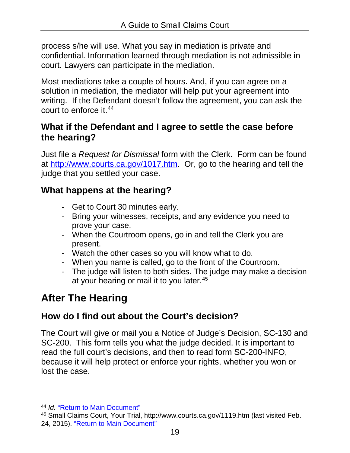process s/he will use. What you say in mediation is private and confidential. Information learned through mediation is not admissible in court. Lawyers can participate in the mediation.

Most mediations take a couple of hours. And, if you can agree on a solution in mediation, the mediator will help put your agreement into writing. If the Defendant doesn't follow the agreement, you can ask the court to enforce [it.44](#page-20-1)

#### <span id="page-20-3"></span>**What if the Defendant and I agree to settle the case before the hearing?**

Just file a *Request for Dismissal* form with the Clerk. Form can be found at [http://www.courts.ca.gov/1017.htm.](http://www.courts.ca.gov/1017.htm) Or, go to the hearing and tell the judge that you settled your case.

# **What happens at the hearing?**

- Get to Court 30 minutes early.
- Bring your witnesses, receipts, and any evidence you need to prove your case.
- When the Courtroom opens, go in and tell the Clerk you are present.
- Watch the other cases so you will know what to do.
- When you name is called, go to the front of the Courtroom.
- <span id="page-20-4"></span>- The judge will listen to both sides. The judge may make a decision at your hearing or mail it to you [later.45](#page-20-2)

# <span id="page-20-0"></span>**After The Hearing**

# **How do I find out about the Court's decision?**

The Court will give or mail you a Notice of Judge's Decision, SC-130 and SC-200. This form tells you what the judge decided. It is important to read the full court's decisions, and then to read form SC-200-INFO, because it will help protect or enforce your rights, whether you won or lost the case.

 $\overline{a}$ <sup>44</sup> *Id.* ["Return to Main Document"](#page-20-3)

<span id="page-20-6"></span><span id="page-20-5"></span><span id="page-20-2"></span><span id="page-20-1"></span><sup>45</sup> Small Claims Court, Your Trial, http://www.courts.ca.gov/1119.htm (last visited Feb. 24, 2015). ["Return to Main Document"](#page-20-4)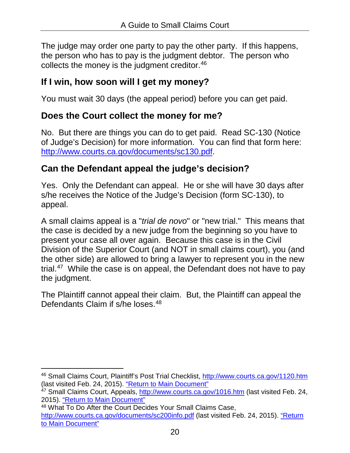The judge may order one party to pay the other party. If this happens, the person who has to pay is the judgment debtor. The person who collects the money is the judgment creditor.<sup>46</sup>

### <span id="page-21-3"></span>**If I win, how soon will I get my money?**

You must wait 30 days (the appeal period) before you can get paid.

### **Does the Court collect the money for me?**

No. But there are things you can do to get paid. Read SC-130 (Notice of Judge's Decision) for more information. You can find that form here: [http://www.courts.ca.gov/documents/sc130.pdf.](http://www.courts.ca.gov/documents/sc130.pdf)

# **Can the Defendant appeal the judge's decision?**

Yes. Only the Defendant can appeal. He or she will have 30 days after s/he receives the Notice of the Judge's Decision (form SC-130), to appeal.

A small claims appeal is a "*trial de novo*" or "new trial." This means that the case is decided by a new judge from the beginning so you have to present your case all over again. Because this case is in the Civil Division of the Superior Court (and NOT in small claims court), you (and the other side) are allowed to bring a lawyer to represent you in the new trial.<sup>47</sup> While the case is on appeal, the Defendant does not have to pay the judgment.

<span id="page-21-5"></span><span id="page-21-4"></span>The Plaintiff cannot appeal their claim. But, the Plaintiff can appeal the Defendants Claim if s/he loses.<sup>48</sup>

<span id="page-21-6"></span><span id="page-21-0"></span> $\ddot{\phantom{a}}$ <sup>46</sup> Small Claims Court, Plaintiff's Post Trial Checklist,<http://www.courts.ca.gov/1120.htm> (last visited Feb. 24, 2015). ["Return to Main Document"](#page-21-3)

<span id="page-21-7"></span><span id="page-21-1"></span><sup>47</sup> Small Claims Court, Appeals,<http://www.courts.ca.gov/1016.htm> (last visited Feb. 24, 2015). ["Return to Main Document"](#page-21-4)

<span id="page-21-8"></span><span id="page-21-2"></span><sup>48</sup> What To Do After the Court Decides Your Small Claims Case, <http://www.courts.ca.gov/documents/sc200info.pdf> (last visited Feb. 24, 2015). ["Return](#page-21-5)  [to Main Document"](#page-21-5)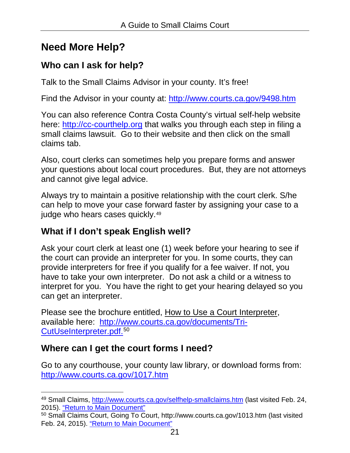# <span id="page-22-0"></span>**Need More Help?**

# **Who can I ask for help?**

Talk to the Small Claims Advisor in your county. It's free!

Find the Advisor in your county at:<http://www.courts.ca.gov/9498.htm>

You can also reference Contra Costa County's virtual self-help website here: [http://cc-courthelp.org](http://cc-courthelp.org/) that walks you through each step in filing a small claims lawsuit. Go to their website and then click on the small claims tab.

Also, court clerks can sometimes help you prepare forms and answer your questions about local court procedures. But, they are not attorneys and cannot give legal advice.

Always try to maintain a positive relationship with the court clerk. S/he can help to move your case forward faster by assigning your case to a judge who hears cases quickly.<sup>49</sup>

# <span id="page-22-3"></span>**What if I don't speak English well?**

Ask your court clerk at least one (1) week before your hearing to see if the court can provide an interpreter for you. In some courts, they can provide interpreters for free if you qualify for a fee waiver. If not, you have to take your own interpreter. Do not ask a child or a witness to interpret for you. You have the right to get your hearing delayed so you can get an interpreter.

<span id="page-22-4"></span>Please see the brochure entitled, How to Use a Court Interpreter, available here: [http://www.courts.ca.gov/documents/Tri-](#page-22-2)[CutUseInterpreter.pdf.](#page-22-2) [50](#page-22-6)

# **Where can I get the court forms I need?**

Go to any courthouse, your county law library, or download forms from: <http://www.courts.ca.gov/1017.htm>

<span id="page-22-5"></span><span id="page-22-1"></span> $\overline{a}$ 49 Small Claims,<http://www.courts.ca.gov/selfhelp-smallclaims.htm> (last visited Feb. 24, 2015). ["Return to Main Document"](#page-22-3)

<span id="page-22-6"></span><span id="page-22-2"></span><sup>50</sup> Small Claims Court, Going To Court, http://www.courts.ca.gov/1013.htm (last visited Feb. 24, 2015). ["Return to Main Document"](#page-22-4)